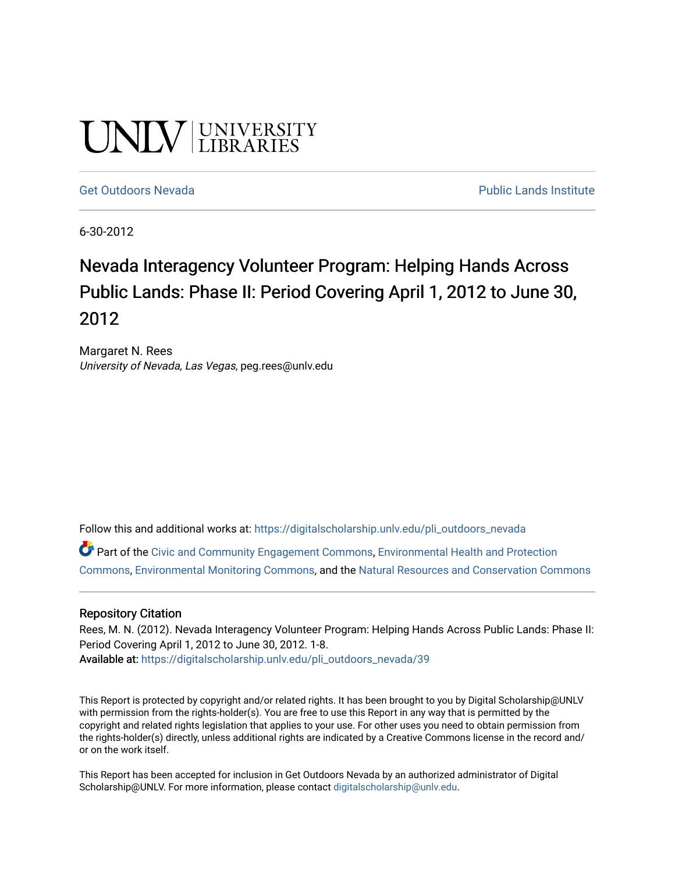# UNIV UNIVERSITY

#### [Get Outdoors Nevada](https://digitalscholarship.unlv.edu/pli_outdoors_nevada) **Public Lands Institute** Public Lands Institute

6-30-2012

## Nevada Interagency Volunteer Program: Helping Hands Across Public Lands: Phase II: Period Covering April 1, 2012 to June 30, 2012

Margaret N. Rees University of Nevada, Las Vegas, peg.rees@unlv.edu

Follow this and additional works at: [https://digitalscholarship.unlv.edu/pli\\_outdoors\\_nevada](https://digitalscholarship.unlv.edu/pli_outdoors_nevada?utm_source=digitalscholarship.unlv.edu%2Fpli_outdoors_nevada%2F39&utm_medium=PDF&utm_campaign=PDFCoverPages)

Part of the [Civic and Community Engagement Commons](http://network.bepress.com/hgg/discipline/1028?utm_source=digitalscholarship.unlv.edu%2Fpli_outdoors_nevada%2F39&utm_medium=PDF&utm_campaign=PDFCoverPages), [Environmental Health and Protection](http://network.bepress.com/hgg/discipline/172?utm_source=digitalscholarship.unlv.edu%2Fpli_outdoors_nevada%2F39&utm_medium=PDF&utm_campaign=PDFCoverPages)  [Commons](http://network.bepress.com/hgg/discipline/172?utm_source=digitalscholarship.unlv.edu%2Fpli_outdoors_nevada%2F39&utm_medium=PDF&utm_campaign=PDFCoverPages), [Environmental Monitoring Commons,](http://network.bepress.com/hgg/discipline/931?utm_source=digitalscholarship.unlv.edu%2Fpli_outdoors_nevada%2F39&utm_medium=PDF&utm_campaign=PDFCoverPages) and the [Natural Resources and Conservation Commons](http://network.bepress.com/hgg/discipline/168?utm_source=digitalscholarship.unlv.edu%2Fpli_outdoors_nevada%2F39&utm_medium=PDF&utm_campaign=PDFCoverPages)

#### Repository Citation

Rees, M. N. (2012). Nevada Interagency Volunteer Program: Helping Hands Across Public Lands: Phase II: Period Covering April 1, 2012 to June 30, 2012. 1-8. Available at: [https://digitalscholarship.unlv.edu/pli\\_outdoors\\_nevada/39](https://digitalscholarship.unlv.edu/pli_outdoors_nevada/39) 

This Report is protected by copyright and/or related rights. It has been brought to you by Digital Scholarship@UNLV with permission from the rights-holder(s). You are free to use this Report in any way that is permitted by the copyright and related rights legislation that applies to your use. For other uses you need to obtain permission from the rights-holder(s) directly, unless additional rights are indicated by a Creative Commons license in the record and/ or on the work itself.

This Report has been accepted for inclusion in Get Outdoors Nevada by an authorized administrator of Digital Scholarship@UNLV. For more information, please contact [digitalscholarship@unlv.edu.](mailto:digitalscholarship@unlv.edu)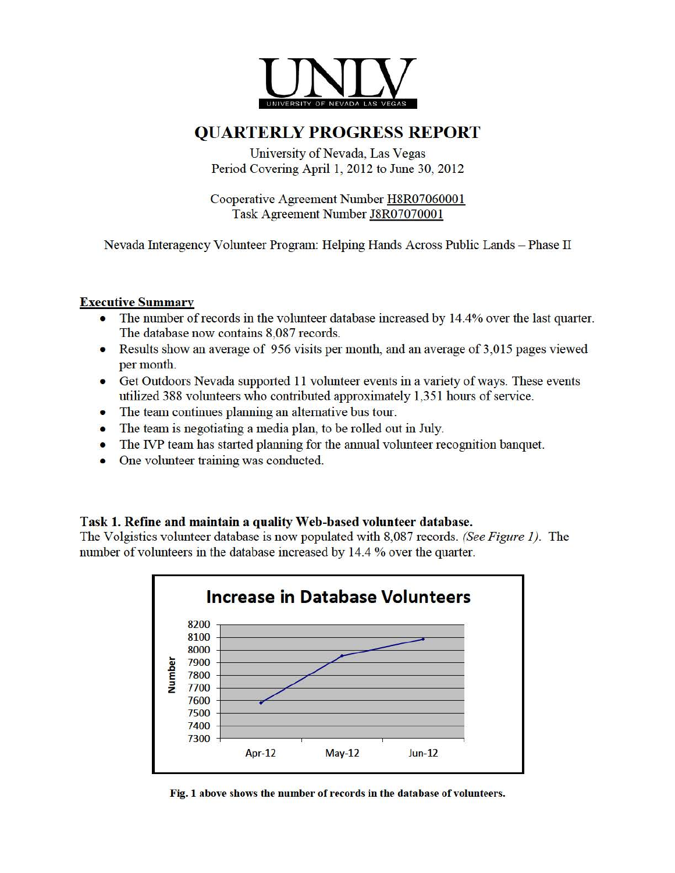

### **QUARTERLYPROGRESS REPORT**

University of Nevada, Las Vegas Period Covering April 1, 2012 to June 30, 2012

Cooperative Agreement Number H8R07060001 Task Agreement Number J8R07070001

Nevada futeragency Vohmteer Program: Helping Hands Across Public Lands - Phase II

#### Executive Summary

- The number of records in the volunteer database increased by 14.4% over the last quarter. The database now contains 8,087 records.
- Results show an average of 956 visits per month, and an average of 3,015 pages viewed per month.
- Get Outdoors Nevada supported 11 volunteer events in a variety of ways. These events utilized 388 volunteers who contributed approximately 1,351 hours of service.
- The team continues planning an alternative bus tour.
- The team is negotiating a media plan, to be rolled out in July.
- The IVP team has started planning for the annual volunteer recognition banquet.
- One volunteer training was conducted.

#### Task 1. Refine and maintain a quality Web-based volunteer database.

The Volgistics volunteer database is now populated with 8,087 records. *(See Figure 1).* The number of volunteers in the database increased by 14.4 % over the quarter.



Fig. 1 above shows the number of records in the database of volunteers.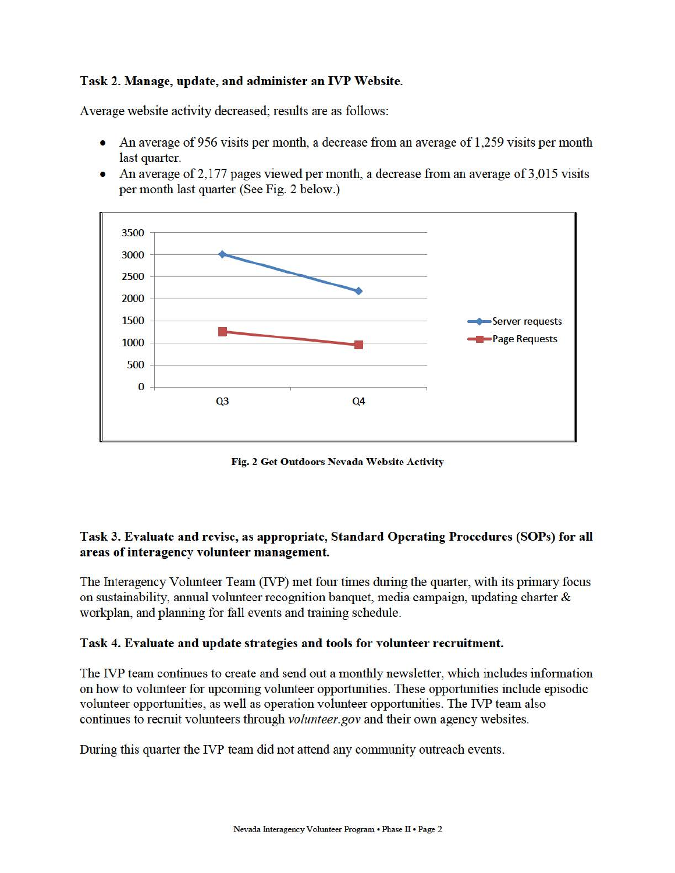#### Task 2. Manage, update, and administer an IVP Website.

Average website activity decreased; results are as follows:

- An average of956 visits per month, a decrease from an average of 1,259 visits per month last quarter.
- An average of 2,177 pages viewed per month, a decrease from an average of  $3,015$  visits per month last quarter (See Fig. 2 below.)



Fig. 2 Get Outdoors Nevada Website Activity

#### Task 3. Evaluate and revise, as appropriate, Standard Operating Procedures (SOPs) for all areas of interagency volunteer management.

The Interagency Volunteer Team (IVP) met four times during the quarter, with its primary focus on sustainability, annual volunteer recognition banquet, media campaign, updating charter & workplan, and planning for fall events and training schedule.

#### Task 4. Evaluate and update strategies and tools for volunteer recruitment.

The IVP team continues to create and send out a monthly newsletter, which includes information on how to volunteer for upcoming volunteer opportunities. These opportunities include episodic volunteer opportunities, as well as operation volunteer opportunities. The IVP team also continues to recruit volunteers through *volunteer.gov* and their own agency websites.

During this quarter the IVP team did not attend any community outreach events.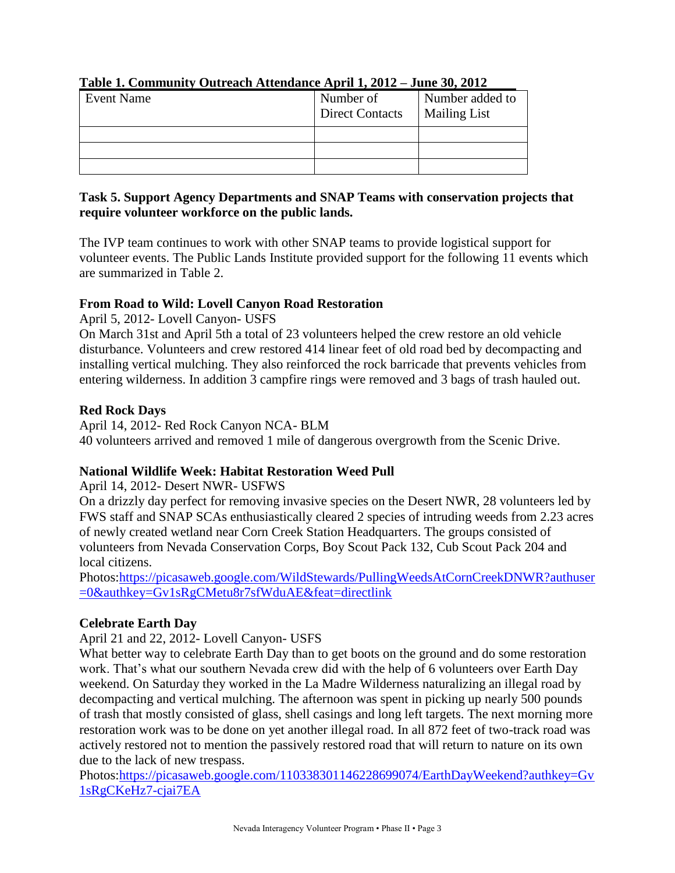| <b>Event Name</b> | Number of<br><b>Direct Contacts</b> | Number added to<br><b>Mailing List</b> |
|-------------------|-------------------------------------|----------------------------------------|
|                   |                                     |                                        |
|                   |                                     |                                        |
|                   |                                     |                                        |

#### **Table 1. Community Outreach Attendance April 1, 2012 – June 30, 2012**

#### **Task 5. Support Agency Departments and SNAP Teams with conservation projects that require volunteer workforce on the public lands.**

The IVP team continues to work with other SNAP teams to provide logistical support for volunteer events. The Public Lands Institute provided support for the following 11 events which are summarized in Table 2.

#### **From Road to Wild: Lovell Canyon Road Restoration**

April 5, 2012- Lovell Canyon- USFS

On March 31st and April 5th a total of 23 volunteers helped the crew restore an old vehicle disturbance. Volunteers and crew restored 414 linear feet of old road bed by decompacting and installing vertical mulching. They also reinforced the rock barricade that prevents vehicles from entering wilderness. In addition 3 campfire rings were removed and 3 bags of trash hauled out.

#### **Red Rock Days**

April 14, 2012- Red Rock Canyon NCA- BLM 40 volunteers arrived and removed 1 mile of dangerous overgrowth from the Scenic Drive.

#### **National Wildlife Week: Habitat Restoration Weed Pull**

April 14, 2012- Desert NWR- USFWS

On a drizzly day perfect for removing invasive species on the Desert NWR, 28 volunteers led by FWS staff and SNAP SCAs enthusiastically cleared 2 species of intruding weeds from 2.23 acres of newly created wetland near Corn Creek Station Headquarters. The groups consisted of volunteers from Nevada Conservation Corps, Boy Scout Pack 132, Cub Scout Pack 204 and local citizens.

Photos:https://picasaweb.google.com/WildStewards/PullingWeedsAtCornCreekDNWR?authuser =0&authkey=Gv1sRgCMetu8r7sfWduAE&feat=directlink

#### **Celebrate Earth Day**

April 21 and 22, 2012- Lovell Canyon- USFS

What better way to celebrate Earth Day than to get boots on the ground and do some restoration work. That's what our southern Nevada crew did with the help of 6 volunteers over Earth Day weekend. On Saturday they worked in the La Madre Wilderness naturalizing an illegal road by decompacting and vertical mulching. The afternoon was spent in picking up nearly 500 pounds of trash that mostly consisted of glass, shell casings and long left targets. The next morning more restoration work was to be done on yet another illegal road. In all 872 feet of two-track road was actively restored not to mention the passively restored road that will return to nature on its own due to the lack of new trespass.

Photos:https://picasaweb.google.com/110338301146228699074/EarthDayWeekend?authkey=Gv 1sRgCKeHz7-cjai7EA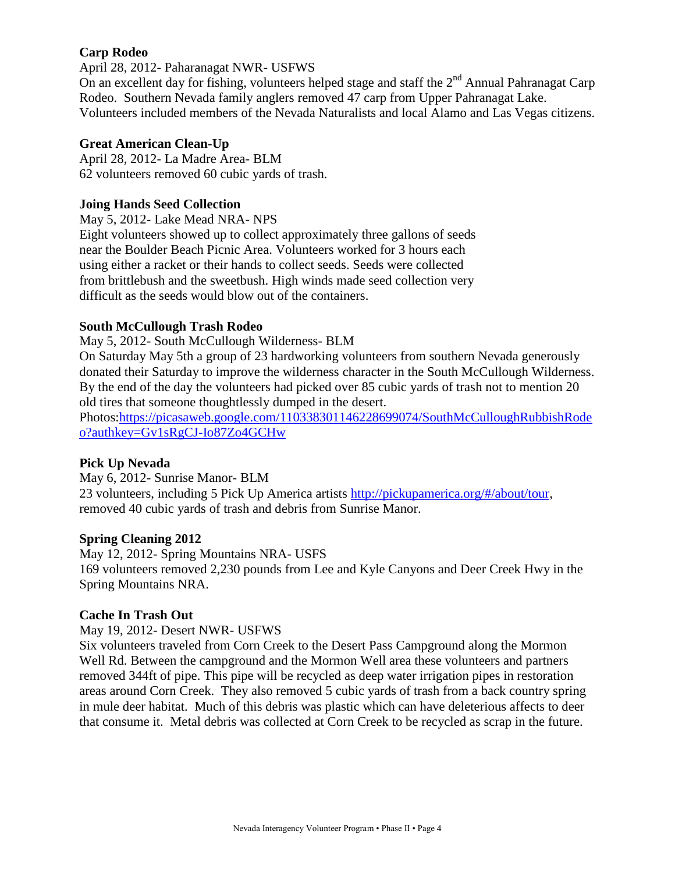#### **Carp Rodeo**

April 28, 2012- Paharanagat NWR- USFWS

On an excellent day for fishing, volunteers helped stage and staff the  $2<sup>nd</sup>$  Annual Pahranagat Carp Rodeo. Southern Nevada family anglers removed 47 carp from Upper Pahranagat Lake. Volunteers included members of the Nevada Naturalists and local Alamo and Las Vegas citizens.

#### **Great American Clean-Up**

April 28, 2012- La Madre Area- BLM 62 volunteers removed 60 cubic yards of trash.

#### **Joing Hands Seed Collection**

May 5, 2012- Lake Mead NRA- NPS

Eight volunteers showed up to collect approximately three gallons of seeds near the Boulder Beach Picnic Area. Volunteers worked for 3 hours each using either a racket or their hands to collect seeds. Seeds were collected from brittlebush and the sweetbush. High winds made seed collection very difficult as the seeds would blow out of the containers.

#### **South McCullough Trash Rodeo**

May 5, 2012- South McCullough Wilderness- BLM

On Saturday May 5th a group of 23 hardworking volunteers from southern Nevada generously donated their Saturday to improve the wilderness character in the South McCullough Wilderness. By the end of the day the volunteers had picked over 85 cubic yards of trash not to mention 20 old tires that someone thoughtlessly dumped in the desert.

Photos:https://picasaweb.google.com/110338301146228699074/SouthMcCulloughRubbishRode o?authkey=Gv1sRgCJ-Io87Zo4GCHw

#### **Pick Up Nevada**

May 6, 2012- Sunrise Manor- BLM 23 volunteers, including 5 Pick Up America artists http://pickupamerica.org/#/about/tour, removed 40 cubic yards of trash and debris from Sunrise Manor.

#### **Spring Cleaning 2012**

May 12, 2012- Spring Mountains NRA- USFS 169 volunteers removed 2,230 pounds from Lee and Kyle Canyons and Deer Creek Hwy in the Spring Mountains NRA.

#### **Cache In Trash Out**

May 19, 2012- Desert NWR- USFWS

Six volunteers traveled from Corn Creek to the Desert Pass Campground along the Mormon Well Rd. Between the campground and the Mormon Well area these volunteers and partners removed 344ft of pipe. This pipe will be recycled as deep water irrigation pipes in restoration areas around Corn Creek. They also removed 5 cubic yards of trash from a back country spring in mule deer habitat. Much of this debris was plastic which can have deleterious affects to deer that consume it. Metal debris was collected at Corn Creek to be recycled as scrap in the future.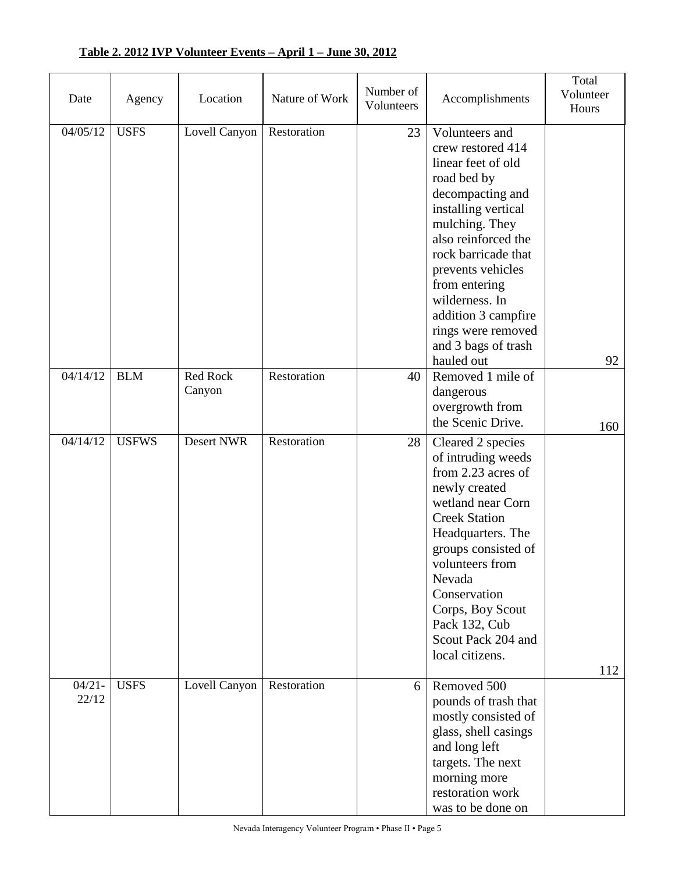| Date               | Agency       | Location           | Nature of Work | Number of<br>Volunteers | Accomplishments                                                                                                                                                                                                                                                                                                               | Total<br>Volunteer<br>Hours |
|--------------------|--------------|--------------------|----------------|-------------------------|-------------------------------------------------------------------------------------------------------------------------------------------------------------------------------------------------------------------------------------------------------------------------------------------------------------------------------|-----------------------------|
| 04/05/12           | <b>USFS</b>  | Lovell Canyon      | Restoration    | 23                      | Volunteers and<br>crew restored 414<br>linear feet of old<br>road bed by<br>decompacting and<br>installing vertical<br>mulching. They<br>also reinforced the<br>rock barricade that<br>prevents vehicles<br>from entering<br>wilderness. In<br>addition 3 campfire<br>rings were removed<br>and 3 bags of trash<br>hauled out | 92                          |
| 04/14/12           | <b>BLM</b>   | Red Rock<br>Canyon | Restoration    | 40                      | Removed 1 mile of<br>dangerous<br>overgrowth from<br>the Scenic Drive.                                                                                                                                                                                                                                                        | 160                         |
| 04/14/12           | <b>USFWS</b> | Desert NWR         | Restoration    | 28                      | Cleared 2 species<br>of intruding weeds<br>from 2.23 acres of<br>newly created<br>wetland near Corn<br><b>Creek Station</b><br>Headquarters. The<br>groups consisted of<br>volunteers from<br>Nevada<br>Conservation<br>Corps, Boy Scout<br>Pack 132, Cub<br>Scout Pack 204 and<br>local citizens.                            | 112                         |
| $04/21 -$<br>22/12 | <b>USFS</b>  | Lovell Canyon      | Restoration    | 6                       | Removed 500<br>pounds of trash that<br>mostly consisted of<br>glass, shell casings<br>and long left<br>targets. The next<br>morning more<br>restoration work<br>was to be done on                                                                                                                                             |                             |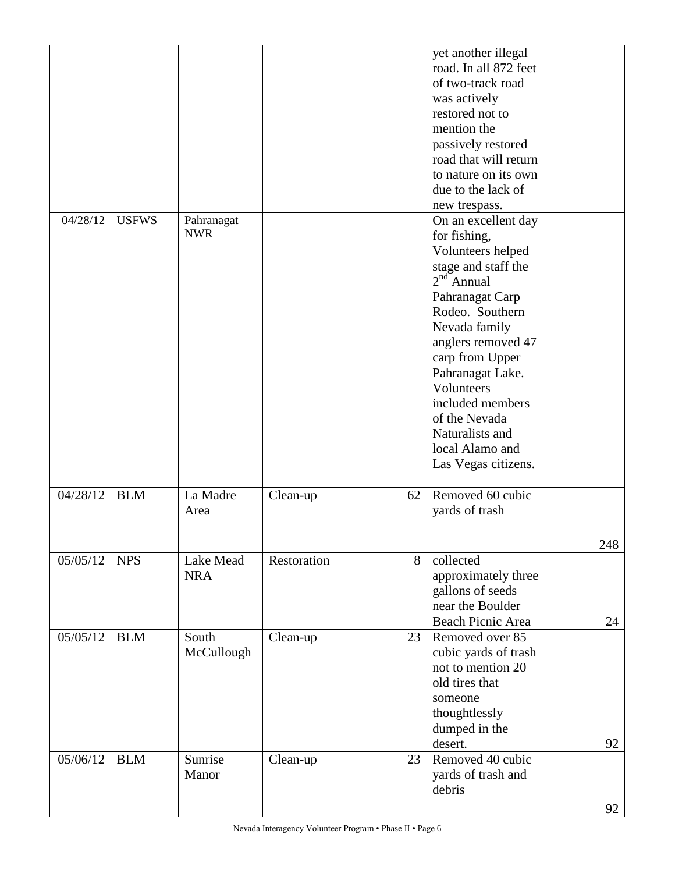|          |              |            |             |    | yet another illegal<br>road. In all 872 feet |     |
|----------|--------------|------------|-------------|----|----------------------------------------------|-----|
|          |              |            |             |    | of two-track road                            |     |
|          |              |            |             |    | was actively                                 |     |
|          |              |            |             |    | restored not to                              |     |
|          |              |            |             |    | mention the                                  |     |
|          |              |            |             |    | passively restored                           |     |
|          |              |            |             |    | road that will return                        |     |
|          |              |            |             |    | to nature on its own                         |     |
|          |              |            |             |    | due to the lack of                           |     |
|          |              |            |             |    |                                              |     |
| 04/28/12 | <b>USFWS</b> | Pahranagat |             |    | new trespass.<br>On an excellent day         |     |
|          |              | <b>NWR</b> |             |    |                                              |     |
|          |              |            |             |    | for fishing,                                 |     |
|          |              |            |             |    | Volunteers helped                            |     |
|          |              |            |             |    | stage and staff the<br>$2nd$ Annual          |     |
|          |              |            |             |    |                                              |     |
|          |              |            |             |    | Pahranagat Carp                              |     |
|          |              |            |             |    | Rodeo. Southern                              |     |
|          |              |            |             |    | Nevada family                                |     |
|          |              |            |             |    | anglers removed 47                           |     |
|          |              |            |             |    | carp from Upper                              |     |
|          |              |            |             |    | Pahranagat Lake.                             |     |
|          |              |            |             |    | Volunteers                                   |     |
|          |              |            |             |    | included members                             |     |
|          |              |            |             |    | of the Nevada                                |     |
|          |              |            |             |    | Naturalists and                              |     |
|          |              |            |             |    | local Alamo and                              |     |
|          |              |            |             |    | Las Vegas citizens.                          |     |
| 04/28/12 | <b>BLM</b>   | La Madre   | Clean-up    | 62 | Removed 60 cubic                             |     |
|          |              | Area       |             |    | yards of trash                               |     |
|          |              |            |             |    |                                              |     |
|          |              |            |             |    |                                              | 248 |
| 05/05/12 | <b>NPS</b>   | Lake Mead  | Restoration | 8  | collected                                    |     |
|          |              | <b>NRA</b> |             |    | approximately three                          |     |
|          |              |            |             |    | gallons of seeds                             |     |
|          |              |            |             |    | near the Boulder                             |     |
|          |              |            |             |    | Beach Picnic Area                            | 24  |
| 05/05/12 | <b>BLM</b>   | South      | Clean-up    | 23 | Removed over 85                              |     |
|          |              | McCullough |             |    | cubic yards of trash                         |     |
|          |              |            |             |    | not to mention 20                            |     |
|          |              |            |             |    | old tires that                               |     |
|          |              |            |             |    | someone                                      |     |
|          |              |            |             |    | thoughtlessly                                |     |
|          |              |            |             |    | dumped in the                                |     |
|          |              |            |             |    | desert.                                      | 92  |
| 05/06/12 | <b>BLM</b>   | Sunrise    | Clean-up    | 23 | Removed 40 cubic                             |     |
|          |              | Manor      |             |    | yards of trash and                           |     |
|          |              |            |             |    | debris                                       |     |
|          |              |            |             |    |                                              | 92  |
|          |              |            |             |    |                                              |     |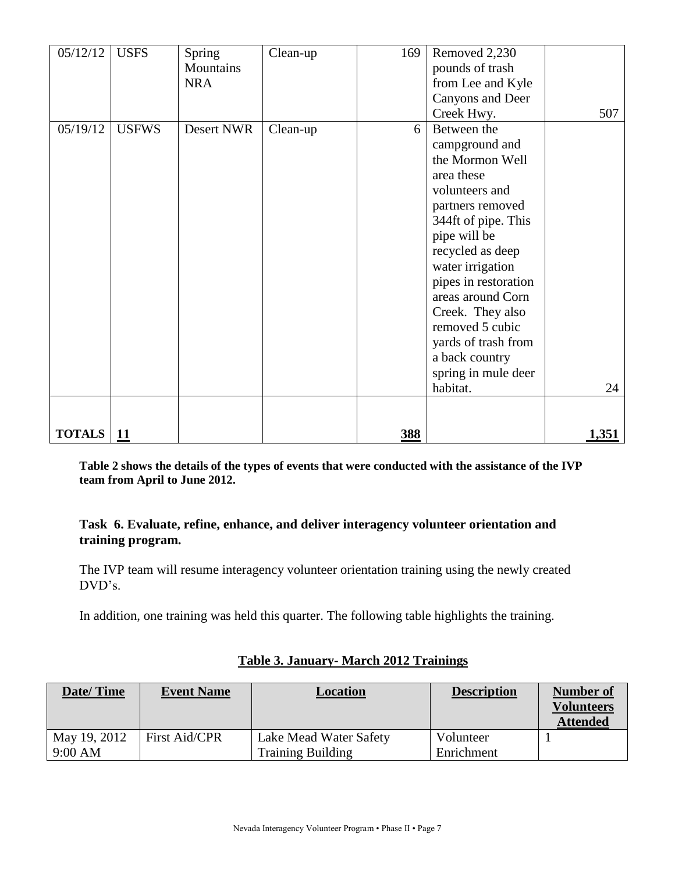| 05/12/12      | <b>USFS</b>  | Spring<br>Mountains<br><b>NRA</b> | Clean-up | 169        | Removed 2,230<br>pounds of trash<br>from Lee and Kyle<br>Canyons and Deer<br>Creek Hwy.                                                                                                                                                                                                                                                             | 507          |
|---------------|--------------|-----------------------------------|----------|------------|-----------------------------------------------------------------------------------------------------------------------------------------------------------------------------------------------------------------------------------------------------------------------------------------------------------------------------------------------------|--------------|
| 05/19/12      | <b>USFWS</b> | Desert NWR                        | Clean-up | 6          | Between the<br>campground and<br>the Mormon Well<br>area these<br>volunteers and<br>partners removed<br>344ft of pipe. This<br>pipe will be<br>recycled as deep<br>water irrigation<br>pipes in restoration<br>areas around Corn<br>Creek. They also<br>removed 5 cubic<br>yards of trash from<br>a back country<br>spring in mule deer<br>habitat. | 24           |
| <b>TOTALS</b> | <u> 11</u>   |                                   |          | <u>388</u> |                                                                                                                                                                                                                                                                                                                                                     | <u>1,351</u> |

**Table 2 shows the details of the types of events that were conducted with the assistance of the IVP team from April to June 2012.**

#### **Task 6. Evaluate, refine, enhance, and deliver interagency volunteer orientation and training program.**

The IVP team will resume interagency volunteer orientation training using the newly created DVD's.

In addition, one training was held this quarter. The following table highlights the training.

| Date/Time               | <b>Event Name</b>    | Location                                           | <b>Description</b>      | Number of<br><b>Volunteers</b><br><b>Attended</b> |
|-------------------------|----------------------|----------------------------------------------------|-------------------------|---------------------------------------------------|
| May 19, 2012<br>9:00 AM | <b>First Aid/CPR</b> | Lake Mead Water Safety<br><b>Training Building</b> | Volunteer<br>Enrichment |                                                   |

#### **Table 3. January- March 2012 Trainings**